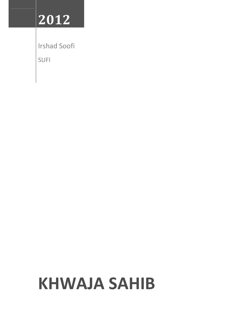## **2012**

Irshad Soofi

SUFI

# **KHWAJA SAHIB**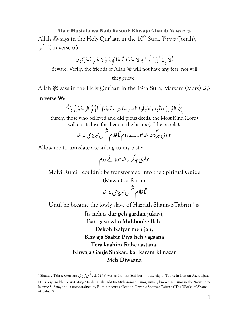**Ata e Mustafa wa Naib Rasool: Khwaja Gharib Nawaz**  Allah - says in the Holy Qur'aan in the 10th Sura, *Yunus* (Jonah), ن پُونسے in verse 63:

أَلاَ إِنَّ أَوْلِيَاءَ اللَّهِ لاَ خَوْفٌ عَلَيْهِمْ وَلاَ هُمْ يَحْزَنُونَ

Beware! Verily, the friends of Allah & will not have any fear, nor will

they grieve.

Allah - says in the Holy Qur'aan in the 19th Sura, Maryam (Mary) ميرم

in verse 96:

 $\overline{a}$ 

إِنَّ الَّذين آمنوا وعملُوا الصّالحات سيجعلُ لَهم الرّحمن ودّا

Surely, those who believed and did pious deeds, the Most Kind (Lord) will create love for them in the hearts (of the people).

،<br>مس تبر*یز*ی نہ شد  $\ddot{\phantom{0}}$  $\cdot$  $\ddot{\phantom{0}}$ ا غلام من  $\ddot{\phantom{0}}$ مولوی ہرگز نہ شد مولائے روم ثا  $\mathbf{r}$ ֧֦֧֦֧֦֧֦֧֦֧֦֧֦֧֦֧ׅ֧֦֧ׅ֧֦֧ׅ֦֧֝֜֓֜֓֜֓֓֞֡֬֓֞֓

Allow me to translate according to my taste:

 روم ! لا ہ # ! % ی \$aگa ب

Molvi Rumi . couldn't be transformed into the Spiritual Guide (Mawla) of Ruum

ُ ہ aی ب aب م 

Until he became the lowly slave of Hazrath Shams-e-Tabrīzī<sup>1</sup>

**Jis neh is dar peh gardan jukayi, Ban gaya who Mahboobe Ilahi Dekoh Kalyar meh jah, Khwaja Saabir Piya heh yagaana Tera kaahim Rahe aastana. Khwaja Ganje Shakar, kar karam ki nazar Meh Diwaana** 

مس **تبریزی :** Shams-e-Tabrez (Persian <sup>1</sup>  $\ddot{\phantom{0}}$ ÿ , d. 1248) was an Iranian Sufi born in the city of Tabriz in Iranian Azerbaijan.

He is responsible for initiating Mawlana Jalal ad-Din Muhammad Rumi, usually known as Rumi in the West, into Islamic Sufism, and is immortalized by Rumi's poetry collection Diwan-e Shams-e Tabriz-i ("The Works of Shams of Tabriz").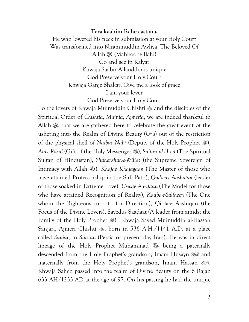#### **Tera kaahim Rahe aastana.**

He who lowered his neck in submission at your Holy Court Was transformed into Nizammuddin Awliya, The Beloved Of Allah - (Mahboobe Ilahi) Go and see in Kalyar Khwaja Saabir Allauddin is unique God Preserve your Holy Court Khwaja Ganje Shakar, Give me a look of grace I am your lover

God Preserve your Holy Court

To the lovers of Khwaja Muinuddin Chishti  $\triangleq$  and the disciples of the Spiritual Order of *Chishtia, Muinia, Ajmeria*, we are indeed thankful to Allah <sup>3</sup> that we are gathered here to celebrate the great event of the ushering into the Realm of Divine Beauty (*Ur's*) out of the restriction of the physical shell of *Naibun-Nabi* (Deputy of the Holy Prophet ... *Ata-e-Rasul* (Gift of the Holy Messenger 38), *Sultan ul-Hind* (The Spiritual Sultan of Hindustan), *Shahenshah-e-Wiliat* (the Supreme Sovereign of Intimacy with Allah 36), *Khajae Khajagaan* (The Master of those who have attained Professorship in the Sufi Path), *Qudwa-e-Aashiqan* (leader of those soaked in Extreme Love), *Uswae Aarifaan* (The Model for those who have attained Recognition of Reality), *Kaaba-e-Saliheen* (The One whom the Righteous turn to for Direction), Qibla-e Aashiqan (the Focus of the Divine Lovers), Sayedus Saadaat (A leader from amidst the Family of the Holy Prophet 38) Khwaja Sayed Muinuddin al-Hassan Sanjari, Ajmeri Chishti , born in 536 A.H./1141 A.D. at a place called *Sanjar*, in *Sijistan* (Persia or present day Iran). He was in direct lineage of the Holy Prophet Muhammad - being a paternally descended from the Holy Prophet's grandson, Imam Husayn  $\mathbb{R}^n$  and maternally from the Holy Prophet's grandson, Imam Hassan ... Khwaja Saheb passed into the realm of Divine Beauty on the 6 Rajab 633 AH/1233 AD at the age of 97. On his passing he had the unique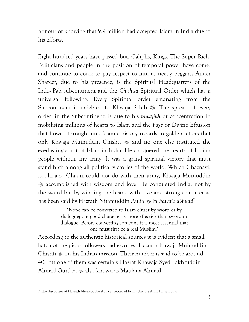honour of knowing that 9.9 million had accepted Islam in India due to his efforts.

Eight hundred years have passed but, Caliphs, Kings. The Super Rich, Politicians and people in the position of temporal power have come, and continue to come to pay respect to him as needy beggars. Ajmer Shareef, due to his presence, is the Spiritual Headquarters of the Indo/Pak subcontinent and the *Chishtia* Spiritual Order which has a universal following. Every Spiritual order emanating from the Subcontinent is indebted to Khwaja Sahib . The spread of every order, in the Subcontinent, is due to his *tawajjuh* or concentration in mobilising millions of hearts to Islam and the *Fayz* or Divine Effusion that flowed through him. Islamic history records in golden letters that only Khwaja Muinuddin Chishti and no one else instituted the everlasting spirit of Islam in India. He conquered the hearts of Indian people without any army. It was a grand spiritual victory that must stand high among all political victories of the world. Which Ghaznavi, Lodhi and Ghauri could not do with their army, Khwaja Muinuddin accomplished with wisdom and love. He conquered India, not by the sword but by winning the hearts with love and strong character as has been said by Hazrath Nizamuddin Aulia  $\ddot{\textbf{u}}$  in *Fawaid-ul-Fuad*<sup>2:</sup>

> "None can be converted to Islam either by sword or by dialogue; but good character is more effective than sword or dialogue. Before converting someone it is most essential that one must first be a real Muslim."

According to the authentic historical sources it is evident that a small batch of the pious followers had escorted Hazrath Khwaja Muinuddin Chishti  $\omega$  on his Indian mission. Their number is said to be around 40, but one of them was certainly Hazrat Khawaja Syed Fakhruddin Ahmad Gurdezi  $\triangleq$  also known as Maulana Ahmad.

<sup>2</sup> The discourses of Hazrath Nizamuddin Aulia as recorded by his disciple Amir Hassan Sijzi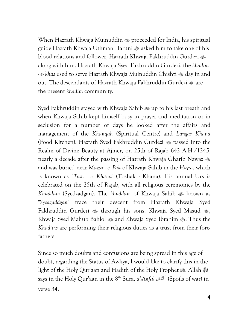When Hazrath Khwaja Muinuddin proceeded for India, his spiritual guide Hazrath Khwaja Uthman Haruni asked him to take one of his blood relations and follower, Hazrath Khwaja Fakhruddin Gurdezi along with him. Hazrath Khwaja Syed Fakhruddin Gurdezi, the *khadim - e- khas* used to serve Hazrath Khwaja Muinuddin Chishti day in and out. The descendants of Hazrath Khwaja Fakhruddin Gurdezi  $\frac{1}{200}$  are the present *khadim* community.

Syed Fakhruddin stayed with Khwaja Sahib up to his last breath and when Khwaja Sahib kept himself busy in prayer and meditation or in seclusion for a number of days he looked after the affairs and management of the *Khanqah* (Spiritual Centre) and *Langar Khana* (Food Kitchen). Hazrath Syed Fakhruddin Gurdezi  $\ast$  passed into the Realm of Divine Beauty at Ajmer, on 25th of Rajab 642 A.H./1245, nearly a decade after the passing of Hazrath Khwaja Gharib Nawaz and was buried near *Mazar - e- Pak* of Khwaja Sahib in the *Hujra*, which is known as "*Tosh - e- Khana*" (Toshak - Khana). His annual Urs is celebrated on the 25th of Rajab, with all religious ceremonies by the *Khuddam* (Syedzadgan). The *khuddam* of Khwaja Sahib known as "*Syedzaddgan*" trace their descent from Hazrath Khwaja Syed Fakhruddin Gurdezi  $*$  through his sons, Khwaja Syed Masud  $*$ , Khwaja Syed Mahub Bahlol  $\triangleq$  and Khwaja Syed Ibrahim  $\triangleq$ . Thus the *Khadims* are performing their religious duties as a trust from their forefathers.

Since so much doubts and confusions are being spread in this age of doubt, regarding the Status of Awliya, I would like to clarify this in the light of the Holy Qur'aan and Hadith of the Holy Prophet . Allah <del></del> says in the Holy Qur'aan in the 8th Sura, *al-Anfāl* فَالالْأَن) Spoils of war) in verse 34: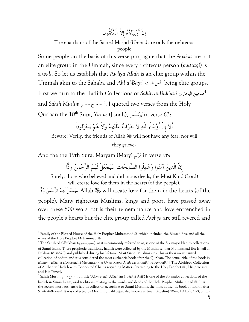### إِنْ أَوليآؤه إِلاَّ الْمتّقُونَ

The guardians of the Sacred Masjid *(Haram)* are only the righteous people

Some people on the basis of this verse propagate that the *Awliya* are not an elite group in the Ummah, since every righteous person (*muttaqi*) is a *wali*. So let us establish that *Awliya Allah* is an elite group within the Ummah akin to the Sahaba and *Ahl al-Bayt<sup>3</sup>* البيت أهل being elite groups. First we turn to the Hadith Collections of *Sahih al-Bukhari* البخاري صحيح 4 and *Sahih Muslim* مسلم صحيح 5 . I quoted two verses from the Holy Qur'aan the 10th Sura, *Yunus* (Jonah), سُنـوي in verse 63:

أَلاَ إِنَّ أَوْلِيَاءَ اللَّهِ لاَ خَوْفٌ عَلَيْهِمْ وَلاَ هُمْ يَحْزَنُونَ

Beware! Verily, the friends of Allah  $\frac{100}{100}$  will not have any fear, nor will

they grieve.

And the the 19th Sura, Maryam (Mary) ميرم in verse 96:

 $\overline{a}$ 

إِنَّ الَّذِينَ آمَنُوا وَعَمِلُوا الصِّالِحَاتِ سَيَجْعَلُ لَهُمُ الرِّحْمَنُ وُدًّا

Surely, those who believed and did pious deeds, the Most Kind (Lord) will create love for them in the hearts (of the people).

قَالِ كَالِهُمُ الرِّحْمَنُ وُدًّا Allah ﷺ will create love for them in the hearts (of the people). Many righteous Muslims, kings and poor, have passed away over these 800 years but is their remembrance and love entrenched in the people's hearts but the elite group called *Awliya* are still revered and

 $^3$  Family of the Blessed House of the Holy Prophet Muhammad  $\textcircled{\tiny{\textbf{B}}},$  which included the Blessed Five and all the wives of the Holy Prophet Muhammad .

 $^4$  The Sahih of al-Bukhari (صحيح البخاري), as it is commonly referred to as, is one of the Six major Hadith collections of Sunni Islam. These prophetic traditions, hadith were collected by the Muslim scholar Muhammad ibn Ismail al-Bukhari (810-870) and published during his lifetime. Most Sunni Muslims view this as their most trusted collection of hadith and it is considered the most authentic book after the Qur'aan. The actual title of the book is: *al-Jaami' al-Sahih al-Musnad al-Mukhtasar min Umur Rasool Allah wa sunanihi wa Ayyamihi*. [ The Abridged Collection of Authentic Hadith with Connected Chains regarding Matters Pertaining to the Holy Prophet  $\mathcal{F}$ , His practices and His Times].

<sup>5</sup> Sahih Muslim مسلم صحيح, full title "*Al-Musnadu Al-Sahihu bi Naklil Adli*") is one of the Six major collections of the hadith in Sunni Islam, oral traditions relating to the words and deeds of the Holy Prophet Muhammad 8. It is the second most authentic hadith collection according to Sunni Muslims, the most authentic book of hadith after *Sahih Al-Bukhari*. It was collected by Muslim ibn al-Hajjaj, also known as Imam Muslim(206-261 AH/.821-875 CE).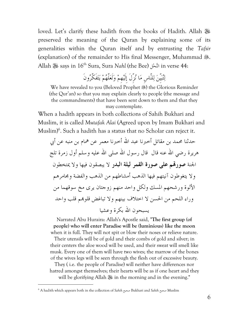loved. Let's clarify these hadith from the books of Hadith. Allah preserved the meaning of the Quran by explaining some of its generalities within the Quran itself and by entrusting the *Tafsir*  (explanation) of the remainder to His final Messenger, Muhammad ... Allah - says in 16th Sura, Sura *Nahl* (the Bee) لحالن in verse 44:

لتبيِّن للنّاسِ ما نزِّلَ إِلَيهِم ولَعلَّهم يتفَكَّرونَ

We have revealed to you (Beloved Prophet .) the Glorious Reminder (the Qur'an) so that you may explain clearly to people (the message and the commandments) that have been sent down to them and that they may contemplate.

When a hadith appears in both collections of Sahih Bukhari and Muslim, it is called *Mutafak Alai* (Agreed upon by Imam Bukhari and Muslim)<sup>6</sup>. Such a hadith has a status that no Scholar can reject it.

حدثنا محمد بن مقاتل أحبرنا عبد الله أحبرنا معمر عن همام بن منبه عن أبي هريرة رضي الله عنه قال ٍ قال رسول الله صلى الله عليه وسلم أول زمرة تلج الجنة **صورم على صورة القمر ليلة البدر** لا يبصقون فيها ولا يمتخطون ولا يتغوطون آنيتهم فيها الذهب أمشاطهم من الذهب والفضة ومجامرهم الألوة ورشحهم المسك ولكل واحد منهم زوجتان يرى مخ سوقهما من وراء اللحم من الحسن لا اختلاف بينهم ولا تباغض قلوم قلب واحد يسبحون االله بكرة وعشيا

Narrated Abu Huraira: Allah's Apostle said, "**The first group (of people) who will enter Paradise will be (luminious) like the moon**  when it is full. They will not spit or blow their noses or relieve nature.

Their utensils will be of gold and their combs of gold and silver; in their centers the aloe wood will be used, and their sweat will smell like musk. Every one of them will have two wives; the marrow of the bones of the wives legs will be seen through the flesh out of excessive beauty.

They ( i.e. the people of Paradise) will neither have differences nor hatred amongst themselves; their hearts will be as if one heart and they will be glorifying Allah 3 in the morning and in the evening."

<sup>6</sup> A hadith which appears both in the collection of *Sahih* صحيح Bukhari and *Sahih* صحيح Muslim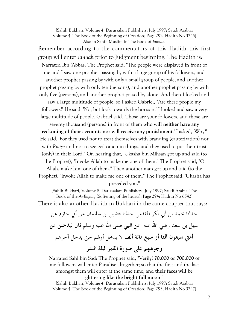[Sahih Bukhari, Volume 4; Darussalam Publishers; July 1997; Saudi Arabia; Volume 4; The Book of the Beginning of Creation; Page 292; Hadith No 3245] Also in Sahih Muslim in The Book of *Jannah*.

Remember according to the commentators of this Hadith this first group will enter *Jannah* prior to Judgment beginning. The Hadith is: Narrated Ibn 'Abbas: The Prophet said, "The people were displayed in front of me and I saw one prophet passing by with a large group of his followers, and another prophet passing by with only a small group of people, and another prophet passing by with only ten (persons), and another prophet passing by with only five (persons), and another prophet passed by alone. And then I looked and saw a large multitude of people, so I asked Gabriel, "Are these people my followers?' He said, 'No, but look towards the horizon.' I looked and saw a very

large multitude of people. Gabriel said. 'Those are your followers, and those are seventy thousand (persons) in front of them **who will neither have any reckoning of their accounts nor will receive any punishment**.' I asked, 'Why?' He said, 'For they used not to treat themselves with branding (cauterization) nor with *Ruqya* and not to see evil omen in things, and they used to put their trust (only) in their Lord." On hearing that, 'Ukasha bin Mihsan got up and said (to the Prophet), "Invoke Allah to make me one of them." The Prophet said, "O Allah, make him one of them." Then another man got up and said (to the Prophet), "Invoke Allah to make me one of them." The Prophet said, 'Ukasha has

preceded you."

[Sahih Bukhari, Volume 8; Darussalam Publishers; July 1997; Saudi Arabia; The Book of the *Ar-Riqaaq* (Softening of the hearts); Page 294; Hadith No 6542] There is also another Hadith in Bukhari in the same chapter that says:

حدثنا محمد بن أبي بكر المقدمي حدثنا فضيل بن سليمان عن أبي حازم عن سهل بن سعد رضي الله عنه عن النبي صلى الله عليه وسلم قال **ليدخلن من أمتي سبعون ألفا أو سبع مائة ألف** لا يدخل أولهم حتى يدخل آخرهم **وجوههم على صورة القمر ليلة البدر**

Narrated Sahl bin Sad: The Prophet said, "Verily! **70,000 or 700,000** of my followers will enter Paradise altogether; so that the first and the last amongst them will enter at the same time, and **their faces will be glittering like the bright full moon**."

[Sahih Bukhari, Volume 4; Darussalam Publishers; July 1997; Saudi Arabia; Volume 4; The Book of the Beginning of Creation; Page 293; Hadith No 3247]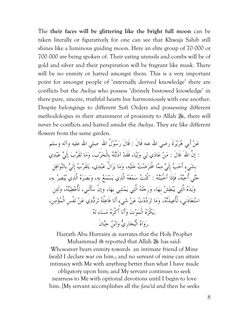The **their faces will be glittering like the bright full moon** can be taken literally or figuratively for one can see that Khwaja Sahib still shines like a luminous guiding moon. Here an elite group of 70 000 or 700 000 are being spoken of. Their eating utensils and combs will be of gold and silver and their perspiration will be fragrant like musk. There will be no enmity or hatred amongst them. This is a very important point for amongst people of 'externally derived knowledge' there are conflicts but the *Awliya* who possess 'divinely bestowed knowledge' in there pure, sincere, truthful hearts live harmoniously with one another. Despite belongings to different Sufi Orders and possessing different methodologies in their attainment of proximity to Allah . there will never be conflicts and hatred amidst the *Awliya*. They are like different flowers from the same garden.

عَنْ أَبِي هُرَيْرَةَ رضي الله عنه قَالَ : قَالَ رَسُوْلُ اللهِ صلى الله عليه وآله وسلم : إِنَّ اللهَ ۖ قَالَ : مَنْ عَادَي لِي وَلِيًا، فَقَدْ آذَنْتُهُ بِالْحَرْبِ، وَمَا تَقَرَّبَ إِلَيَّ عَبْدِي بِشَيءِ أَحَبَّ إِلَيَّ مِمَّا افْتَرَضْتُ عَلَيْهِ، وَمَا يَزَالُ عَبْدِي، يَتَقَرَّبُ إِلَيَّ بِالنَّوَافِلِ حَتَّى أُحِبَّهُ، فَإِذَا أَحْبَبْتُهُ : كُنْتُ سَمْعَهُ الَّذِي يَسْمَعُ بِهِ، وَبَصَرَهُ الَّذِي يُبْصِرُ بِهِ، ويده الَّتي يبطش بِها، ورِجلَه الَّتي يمشي بِها، وإنْ سأَلَنِي، لَأُعطينه، ولَئنِ اسْتَعَاذَني، لَأُعِيذَنَّهُ، وَمَا تَرَدَّدْتُ عَنْ شَيءٍ أَنَا فَاعِلُهُ تَرَدُّدِي عَنْ نَفْسِ الْمُؤْمِنِ، .يکْره الْموت وأَنا أَکْره مساء ته .رواه الْبخارِي وابن حبانَ

Hazrath Abu Hurraira narrates that the Holy Prophet Muhammad reported that Allah - has said: Whosoever bears enmity towards an intimate friend of Mine (wali) I declare war on him.; and no servant of mine can attain intimacy with Me with anything better than what I have made obligatory upon him; and My servant continues to seek nearness to Me with optional devotions until I begin to love him. [My servant accomplishes all the *fara'id* and then he seeks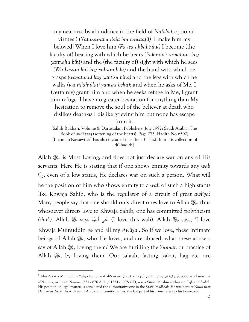my nearness by abundance in the field of *Nafa'il* ( optional virtues ) *(Yatakarrabu ilaia bin nawaafil)* I make him my beloved] When I love him *(Fa iza ahbabtuhu)* I become (the faculty of) hearing with which he hears *(Fakuntoh samahum lazi yasmahu bihi)* and the (the faculty of) sight with which he sees *(Wa basara hul lazi yubsiru bihi)* and the hand with which he grasps *(wayatahul lazi yabtisu biha)* and the legs with which he walks *(wa rijlahullati yamshi beha)*; and when he asks of Me, I (certainly) grant him and when he seeks refuge in Me, I grant him refuge. I have no greater hesitation for anything than My hesitation to remove the soul of the believer at death who dislikes death-as I dislike grieving him but none has escape from it.

[Sahih Bukhari, Volume 8; Darussalam Publishers; July 1997; Saudi Arabia; The Book of *ar-Riqaaq* (softening of the hearts); Page 275; Hadith No 6502] [Imam an-Nawawi  $\text{dS}^7$  has also included it as the 38<sup>th</sup> Hadith in His collection of 40 hadith]

Allah  $\mathcal{H}$ , is Most Loving, and does not just declare war on any of His servants. Here He is stating that if one shows enmity towards any *wali* وَلِيًا, even of a low status, He declares war on such a person. What will be the position of him who shows enmity to a *wali* of such a high status like Khwaja Sahib, who is the regulator of a circuit of great *awliya*? Many people say that one should only direct ones love to Allah -, thus whosoever directs love to Khwaja Sahib, one has committed polytheism (shirk). Allah ﷺ says هجلُّ (I love this wali). Allah للَّهُ says, 'I love Khwaja Muinuddin and all my *Awliya*'. So if we love, these intimate beings of Allah 3, who He loves, and are abused, what these abusers say of Allah -, loving them? We are fulfilling the *Sunnah* or practice of Allah . by loving them. Our salaah, fasting, zakat, hajj etc. are

 $^7$  Abu Zakaria Muhiuddin Yahya Ibn Sharaf al-Nawawi (1234 – 1278) أبو زكريا يحيى بن شرف النووي, popularly known as *al-Nawawi*, or Imam Nawawi (631 - 676 A.H. / 1234 - 1278 CE), was a Sunni Muslim author on *Fiqh* and *hadith*. His position on legal matters is considered the authoritative one in the *Shafi'i Madhhab*. He was born at Nawa near Damascus, Syria. As with many Arabic and Semitic names, the last part of his name refers to his hometown.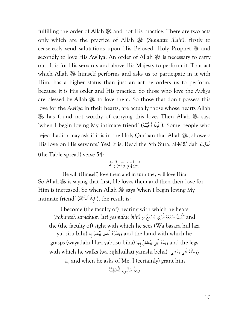fulfilling the order of Allah  $\mathcal{H}$  and not His practice. There are two acts only which are the practice of Allah - *(Sunnatte Illahi)*; firstly to ceaselessly send salutations upon His Beloved, Holy Prophet  $\mathcal{L}$  and secondly to love His Awliya. An order of Allah - is necessary to carry out. It is for His servants and above His Majesty to perform it. That act which Allah  $\frac{1}{2}$  himself performs and asks us to participate in it with Him, has a higher status than just an act he orders us to perform, because it is His order and His practice. So those who love the *Awliya* are blessed by Allah 3% to love them. So those that don't possess this love for the *Awliya* in their hearts, are actually those whose hearts Allah **»** has found not worthy of carrying this love. Then Allah » says 'when I begin loving My intimate friend' (هتببْأَح فَإِذَا( . Some people who reject hadith may ask if it is in the Holy Qur'aan that Allah . showers His love on His servants? Yes! It is. Read the 5th Sura, al-Mā'idah ةدآئالْم (the Table spread) verse 54:

يحبّهم ويحبّونه

He will (Himself) love them and in turn they will love Him So Allah - is saying that first, He loves them and then their love for Him is increased. So when Allah  $\mathcal{H}$  says 'when I begin loving My intimate friend' (هَإِذَا أَحْبَبْتُهُ), the result is:

I become (the faculty of) hearing with which he hears and كُنْتُ سَمْعَهُ الَّذِي يَسْمَعُ بِهِ *(Fakuntoh samahum lazi yasmahu bihi*) the (the faculty of) sight with which he sees (Wa basara hul lazi yubsiru bihi) وَبَصَرَهُ الَّذِي يُنْصِرُ بِهِ (yubsiru bihi grasps (wayadahul lazi yabtisu biha) وَيَدَهُ الَّتِي يَنْطِشُ بِهَا  $\,$ and the legs with which he walks (wa rijlahullati yamshi beha) وَرِجْلَهُ الَّتِي يَمْشِي ابِه ;and when he asks of Me, I (certainly) grant him وإنْ سأَلَنِي، لَأُعطينه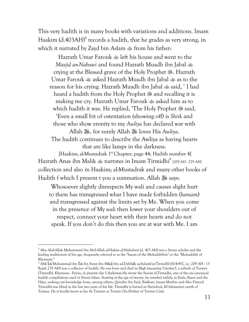This very hadith is in many books with variations and additions. Imam Haakim (d.403AH)<sup>8</sup> records a hadith, that he grades as very strong, in which it narrated by Zayd bin Aslam  $\ast$  from his father:

 Hazrath Umar Farouk left his house and went to the *Masjid an-Nabawi* and found Hazrath Muadh ibn Jabal crying at the Blessed grave of the Holy Prophet . Hazrath Umar Farouk asked Hazrath Muadh ibn Jabal as to the reason for his crying. Hazrath Muadh ibn Jabal  $\frac{1}{200}$  said, 'I had heard a hadith from the Holy Prophet  $\mathcal{F}$  and recalling it is making me cry. Hazrath Umar Farouk asked him as to which hadith it was. He replied, 'The Holy Prophet  $\mathcal{L}$  said, 'Even a small bit of ostentation (showing off) is *Shirk* and those who show enmity to my *Awliya* has declared war with Allah -, for surely Allah - loves His *Awliya*. The hadith continues to describe the Awliya as having hearts that are like lamps in the darkness.

[Haakim; al-Mustadrak 1<sup>st</sup> Chapter; page 44; Hadith number 4] Hazrath Anas ibn Malik narrates in Imam Tirmidhi<sup>9</sup> (209 AH - 279 AH) collection and also in Haakim; al-Mustadrak and many other books of Hadith f which I present t you a summation. Allah 35 says:

Whosoever slightly disrespects My wali and causes slight hurt to them has transgressed what I have made forbidden (*haraam*) and transgressed against the limits set by Me. When you come in the presence of My *wali* then lower your shoulders out of respect, connect your heart with their hearts and do not speak. If you don't do this then you are at war with Me. I am

<sup>8</sup> Abu Abd-Allah Muhammad ibn Abd-Allah al-Hakim al-Nishaburi (d. 403 AH) was a Sunni scholar and the leading traditionist of his age, frequently referred to as the "Imam of the Muhaddithin" or the "Muhaddith of Khorasan."

<sup>9</sup> Abū Īsā Muhammad ibn Īsā ibn Surat ibn Mūsā ibn ad-Dahhāk as-Sulamī at-Tirmidhī (824-892, i.e. 209 AH - 13 Rajab 279 AH) was a collector of hadith. He was born and died in Bâgh (meaning 'Garden'), a suburb of Termez (Tirmidh), Khurasan - Persia, in present day Uzbekistan.He wrote the Sunan al-Tirmidhi, one of the six canonical hadith compilations used in Sunni Islam. Starting at the age of twenty, he traveled widely, to Kufa, Basra and the Hijaz, seeking out knowledge from, among others, Qutaiba ibn Said, Bukhari, Imam Muslim and Abu Dawud. Tirmidhī was blind in the last two years of his life. Tirmidhi is buried in Sherobod, 60 kilometers north of Termez. He is locally know as Iso At Termizi or Termiz Ota (Father of Termez City).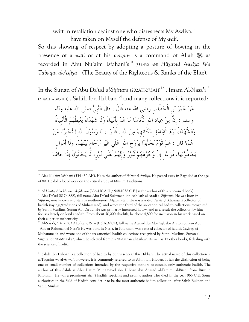swift in retaliation against one who disrespects My Awliya. I have taken on Myself the defense of My *wali*.

So this showing of respect by adopting a posture of bowing in the presence of a *wali* or at his *mazaar* is a command of Allah  $\frac{366}{100}$  as recorded in Abu Nu'aim Isfahani's<sup>10</sup> (334-430 AH) *Hilyat-ul Awliya Wa Tabaqat al-Asfiya*<sup>11</sup> (The Beauty of the Righteous & Ranks of the Elite).

In the Sunan of Abu Da'ud *al-Sijistani* (202AH-275AH)<sup>12</sup>, Imam Al-Nasa'i<sup>13</sup>  $(214AH - 303 AH)$ , Sahih Ibn Hibban<sup>14</sup> and many collections it is reported:

عَنْ عُمَرَ بْنِ الْخطَّابِ رضي الله عنه قَالَ : قَالَ النَّبِيُّ صلي الله عليه وآله وسلم : إِنَّ مِنْ عِبَادِ الله ۖ لَأُنَاسًا مَا هُمْ بِأَنْبِيَاءَ وَلَا شُهَدَاءَ يَغْبِطُهُمُ الْأَنْبِيَاءُ وَالشُّهَدَاءُ يَوْمَ الْقِيَامَةِ بِمَكَانِهِمْ مِنَ اللهِ . قَالُوْا : يَا رَسُوْلَ اللهِ ! تُخْبِرُنَا مَنْ هُمْ؟ قَالَ : هُمْ قَوْمٌ تَحَابُّوْا بِرُوْحِ اللهِ عَلَي غَيْرِ أَرْحَامٍ بَيْنَهُمْ، وَلَا أَمْوَالٍ يَتَعَاطُوْنَهَا، فَوَالله ۚ إِنَّ وُجُوهُهُمْ لَنُورٌ وَإِنَّهُمْ لَعَلَي نُوْرٍ، لَا يَخَافُونَ إِذَا خَافَ

 $10$  Abu Nu'aim Isfahani (334-430 AH). He is the author of Hilyat al-Awliya. He passed away in Baghdad at the age of 80. He did a lot of work on the critical study of Muslim Traditions.

<sup>&</sup>lt;sup>11</sup> Al Haafiz Abu Na'im al-Isfahaani (336-430 A.H./ 948-1038 C.E.) is the author of this renowned book)

<sup>&</sup>lt;sup>12</sup> Abu Da'ud (817/ 888), full name Abu Da'ud Sulayman ibn Ash`ath al-Azadi al-Sijistani: He was born in Sijistan, now known as Sistan in south-western Afghanistan. He was a noted Persian/ Khurasani collector of hadith (sayings/traditions of Muhammad), and wrote the third of the six canonical hadith collections recognized by Sunni Muslims, Sunan Abi Da'ud. He was primarily interested in law, and as a result the collection by him focuses largely on legal ahadith. From about 50,000 ahadith, he chose 4,800 for inclusion in his work based on their superior authenticity.

<sup>13</sup> Al-Nasa'i(214 – 303 AH/ ca. 829 – 915 AD/CE), full name Ahmad ibn Shu`ayb ibn Ali ibn Sinaan Abu `Abd ar-Rahmaan al-Nasa'i: He was born in Nas'a, in Khorasan. was a noted collector of hadith (sayings of Muhammad), and wrote one of the six canonical hadith collections recognized by Sunni Muslims, Sunan al-Sughra, or "Al-Mujtaba", which he selected from his "As-Sunan al-Kubra". As well as 15 other books, 6 dealing with the science of hadith.

<sup>&</sup>lt;sup>14</sup> Sahih Ibn Hibban is a collection of hadith by Sunni scholar Ibn Hibban. The actual name of this collection is al-Taqasim wa al-Anwa`, however, it is commonly referred to as Sahih ibn Hibban. It has the distinction of being one of small number of collections intended by the respective authors to contain only authentic hadith. The author of this Sahih is Abu Hatim Muhammad ibn Hibban ibn Ahmad al-Tamimi al-Busti, from Bust in Khorasan. He was a prominent *Shafi'i* hadith specialist and prolific author who died in the year 965 C.E. Some authorities in the field of Hadith consider it to be the most authentic hadith collection, after Sahih Bukhari and Sahih Muslim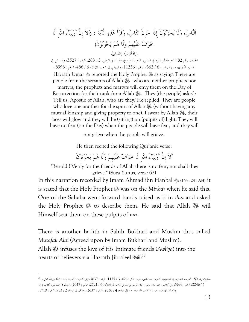الناس، ولَا يحزنونَ إِذَا حزِنَ الناس، وقَرأَ هذه الْآيةَ : ( إِنَّ أَلاَ أَوليآءَ لَا اللهِا خوف علَيهِم ولَا هم يحزنونَ) رواه أَبوداود والنسائي .

الحديث رقم 82 : أخرجه أبو داود في السنن، کتاب : البيوع، باب في: الرهن، 3 : 288 ، الرقم : 3527 ، والنسائي في السنن الکبري، سورة يونس، 6 / 362 ، الرقم : 11236 ، والبيهقي في شعب الايمان، 6 / 486 ، الرقم : .8998 Hazrath Umar  $\triangleq$  reported the Holy Prophet  $\triangleq$  as saying: There are people from the servants of Allah  $\frac{160}{160}$  who are neither prophets nor

martyrs; the prophets and martyrs will envy them on the Day of Resurrection for their rank from Allah 3. They (the people) asked: Tell us, Apostle of Allah, who are they? He replied: They are people who love one another for the spirit of Allah  $\mathcal{L}$  (without having any mutual kinship and giving property to one). I swear by Allah 涨, their faces will glow and they will be (sitting) on (pulpits of) light. They will have no fear (on the Day) when the people will have fear, and they will

not grieve when the people will grieve.

He then recited the following Qur'anic verse:

أَلاَ إِنَّ أَوْلِيَآءَ الله لَا خَوْفٌ عَلَيْهِمْ وَلَا هُمْ يَحْزَنُوْنَ

"Behold ! Verily for the friends of Allah there is no fear, nor shall they grieve." (Sura Yunus, verse 62)

In this narration recorded by Imam Ahmad ibn Hanbal  $\frac{1}{2}$  (164 - 241 AH) it is stated that the Holy Prophet was on the *Minbar* when he said this. One of the Sahaba went forward hands raised as if in *dua* and asked the Holy Prophet & to describe them. He said that Allah  $*$  will Himself seat them on these pulpits of *nur*.

There is another hadith in Sahih Bukhari and Muslim thus called *Mutafak Alai* (Agreed upon by Imam Bukhari and Muslim). Allah - infuses the love of His Intimate friends (*Awliya*) into the hearts of believers via Hazrath Jibra'eel : 15

الحديث رقم 80 : أخرجه البخاري في الصحيح، کتاب : بدء الخلق، باب : ذکر الملائکة، 3 / 1175 ، الرقم : 3037 ، وفي کتاب : الأدب، باب : المقَة اللها من تعالي، <sup>15</sup> 5 / 2246، الرقم : 5693، وفي کتاب : التوحيد، باب : کلام الرب مع جبريل ونداء الله الملائکة، 6 / 2721، الرقم : 7047، ومسلم في الصحيح، کتاب : البر والصلة والآداب، باب : إذا أحب الله عبدا حببه إلي عباده، 4 / 2030، الرقم : 2637، ومالك في الموطأ، 2 / 953، الرقم : 1710.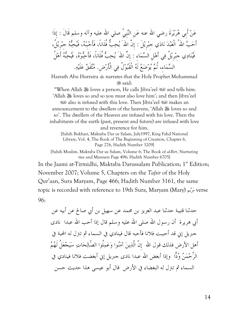عَنْ أَبِي هُرَيْرَةَ رضي الله عنه عَن النَّبِيّ صلي الله عليه وآله وسلم قَالَ : إِذَا أَحَبَّ اللهُ الْعَبْدَ نَادَي جبْرِيْلَ : إِنَّ اللهَ ۖ يُحِبُّ فُلَاناً، فَأَحْبِبْهُ، فَيُحِبُّهُ جبْرِيْلُ، فَيُنادِي جبْرِيْلُ فِي أَهْلِ السَّمَاءِ : إِنَّ اللهَ ۗ يُحِبُّ فُلَاناً، فَأَحِبُّوهُ، فَيُحِبُّهُ أَهْلُ السَّمَاءِ، ثُمَّ يُوضَعُ لَهُ الْقَبُولُ فِي الْأَرْضِ. مُتَّفَقٌّ عَلَيْهِ.

Hazrath Abu Hurraira narrates that the Holy Prophet Muhammad **8.** said:

"When Allah  $\ddot{\mathcal{R}}$  loves a person, He calls Jibra'eel  $\ddot{\mathcal{R}}$  and tells him: 'Allah  $\ddot{\mathscr{E}}$  loves so and so you must also love him'; and then Jibra'eel also is infused with this love. Then Jibra'eel makes an announcement to the dwellers of the heavens, 'Allah ﷺ loves so and so'. The dwellers of the Heaven are infused with his love. Then the inhabitants of the earth (past, present and future) are infused with love and reverence for him.

[Sahih Bukhari, Maktaba Dar us Salam, July1997, King Fahd National Library, Vol. 4, The Book of The Beginning of Creation, Chapter 6, Page 276, Hadith Number 3209]

[Sahih Muslim. Maktaba Dar us Salam, Volume 6; The Book of *al-Birr*, Nurturing ties and Manners Page 496; Hadith Number 6705]

In the Jaami at-Tirmidhi, Maktaba Darussalam Publication; 1<sup>st</sup> Edition; November 2007; Volume 5, Chapters on the *Tafsir* of the Holy Qur'aan, Sura Maryam, Page 466; Hadith Number 3161, the same topic is recorded with reference to 19th Sura, Maryam (Mary) ميرم verse 96:

حدثنا قتيبة حدثنا عبد العزيز بن محمد عن سهيل أبي بن صالح عن أبيه عن أبي هريرة أن رسول الله صلى الله عليه وسلم قال إذا أحب الله عبدا نادى جبريل إني قد أحببت فلانا فأحبه قال فينادي في السماء ثم تترل له المحبة في أهل الأرض فذلك قول الله ۖ إِنّ الَّذِينَ آمَنُوا وَعَمِلُوا الصَّالِحَاتِ سَيَجْعَلُ لَهُمُ الرِّحْمَنُ وُدًّا ۖ وإذا أبغض الله عبدا نادى جبريل إني أبغضت فلانا فينادي في السماء ثم تترل له البغضاء في الأرض قال أبو عيسى هذا حديث حسن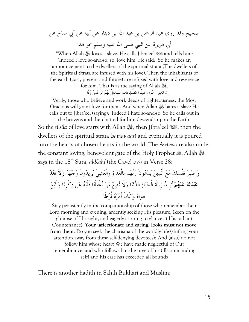صحيح وقد روى عبد الرحمن بن عبد الله بن دينار عن أبيه عن أبي صالح عن أبي هريرة عن النبي صلى الله عليه وسلم نحو هذا

"When Allah ﷺ loves a slave, He calls Jibra'eel لِمَجْ and tells him: 'Indeed I love so-and-so, so, love him' He said: So he makes an announcement to the dwellers of the spiritual strata (The dwellers of the Spiritual Strata are infused with his love). Then the inhabitants of the earth (past, present and future) are infused with love and reverence for him. That is as the saying of Allah  $\ddot{\ddot{\Phi}}$ ;

إِنَّ الَّذِينَ آمَنُوا وَعَمِلُوا الصِّالِحَاتِ سَيَجْعَلُ لَهُمُ الرِّحْمَنُ وُدًّا

Verily, those who believe and work deeds of righteousness, the Most Gracious will grant love for them. And when Allah - hates a slave He calls out to Jibra'eel (saying): 'Indeed I hate so-and-so. So he calls out in

the heavens and then hatred for him descends upon the Earth. So the *silsila* of love starts with Allah ﷺ, then Jibra'eel , then the dwellers of the spiritual strata (*samawaat*) and eventually it is poured into the hearts of chosen hearts in the world. The *Awliya* are also under the constant loving, benevolent gaze of the Holy Prophet . Allah  $\mathcal{H}$ says in the 18th Sura, *al-Kahf* (the Cave) فالْكَه in Verse 28:

واصبِر نفْسك مع الَّذين يدعونَ ربّهم بِالْغداة والْعشيِّ يرِيدونَ وجهه **ولاَ تعد عَيْنَاكَ عَنْهُمْ تُرِيدُ** زِينَةَ الْحَيَاةِ الدِّنْيَا وَلاَ تُطِعْ مَنْ أَغْفَلْنَا قَلْبَهُ عَن ذِكْرِنَا وَاتّبَعَ هواه وكَانَ أَمره فُرطًا

Stay persistently in the companionship of those who remember their Lord morning and evening, ardently seeking His pleasure, (keen on the glimpse of His sight, and eagerly aspiring to glance at His radiant Countenance). **Your (affectionate and caring) looks must not move from them**. Do you seek the charisma of the worldly life (shifting your attention away from these self-denying devotees)? And (also) do not follow him whose heart We have made neglectful of Our remembrance, and who follows but the urge of his (ill-commanding self) and his case has exceeded all bounds

There is another hadith in Sahih Bukhari and Muslim: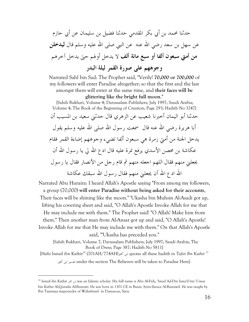حدثنا محمد بن أبي بكر المقدمي حدثنا فضيل بن سليمان عن أبي حازم عن سهل بن سعد رضي الله عنه عن النبي صلى الله عليه وسلم قال **ليدخلن من أمتي سبعون أو ألفا سبع مائة ألف** لا يدخل أولهم حتى يدخل آخرهم **وجوههم على صورة القمر ليلة البدر**

Narrated Sahl bin Sad: The Prophet said, "Verily! **70,000 or 700,000** of my followers will enter Paradise altogether; so that the first and the last amongst them will enter at the same time, and **their faces will be glittering like the bright full moon**."

 [Sahih Bukhari, Volume 4; Darussalam Publishers; July 1997; Saudi Arabia; Volume 4; The Book of the Beginning of Creation; Page 293; Hadith No 3247] حدثنا أبو اليمان أخبرنا شعيب عن الزهري قال حدثني سعيد بن المسيب أن أبا هريرة رضي الله عنه قال ً سمعت رسول الله صلى الله عليه وسلم يقول يدخل الجنة من أمتي زمرة هي سبعون ألفا تضيء وجوههم إضاءة القمر فقام عكاشة بن محصن الأسدي يرفع نمرة عليه قال ادع الله لي يا رسول الله أن يجعلني منهم فقال اللهم اجعله منهم ثم قام رجل من الأنصار فقال يا رسول الله ادع الله أن يجعلني منهم فقال رسول الله سبقك عكاشة

Narrated Abu Huraira: I heard Allah's Apostle saying "From among my followers, a group (70,000) **will enter Paradise without being asked for their accounts**, Their faces will be shining like the moon." 'Ukasha bin Muhsin Al-Asadi got up, lifting his covering sheet and said, "O Allah's Apostle Invoke Allah for me that He may include me with them." The Prophet said! "O Allah! Make him from them." Then another man from Al-Ansar got up and said, "O Allah's Apostle! Invoke Allah for me that He may include me with them." On that Allah's Apostle said, "'Ukasha has preceded you."

 [Sahih Bukhari, Volume 7; Darussalam Publishers; July 1997; Saudi Arabia; The Book of Dress; Page 387; Hadith No 5811]

[Hafiz Ismail ibn Kathir<sup>16</sup> (701AH/774AH)كثير ابن quotes all these hadith in *Tafsir Ibn Kathir* <sup>17</sup> کثير ابن تفسير under the section The Believers will be taken to Paradise Here].

<sup>16</sup> Ismail ibn Kathir كثير ابن was an Islamic scholar. His full name is Abu Al-Fida, 'Imad Ad-Din Isma'il bin 'Umar bin Kathir Al-Qurashi Al-Busrawi. He was born in 1301 CE in Busra, Syria (hence Al-Busrawi). He was taught by Ibn Taymiyya (expounder of Wahabism) in Damascus, Syria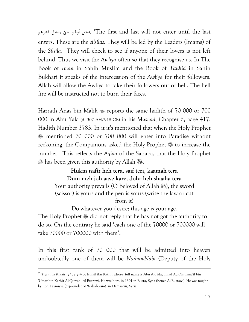آخرهم يدخل حتى أولهم يدخل' The first and last will not enter until the last enters. These are the *silsilas*. They will be led by the Leaders (Imams) of the *Silsila*. They will check to see if anyone of their lovers is not left behind. Thus we visit the *Awliya* often so that they recognise us. In The Book of *Iman* in Sahih Muslim and the Book of *Tauhid* in Sahih Bukhari it speaks of the intercession of the *Awliya* for their followers. Allah will allow the Awliya to take their followers out of hell. The hell fire will be instructed not to burn their faces.

Hazrath Anas bin Malik reports the same hadith of 70 000 or 700 000 in Abu Yala (d. 307 AH/918 CE) in his *Musnad*, Chapter 6, page 417, Hadith Number 3783. In it it's mentioned that when the Holy Prophet mentioned 70 000 or 700 000 will enter into Paradise without reckoning, the Companions asked the Holy Prophet & to increase the number. This reflects the *Aqida* of the Sahaba, that the Holy Prophet <sup>38</sup> has been given this authority by Allah <sup>38</sup> .

#### **Hukm nafiz heh tera, saif teri, kaamah tera Dum meh joh aaye kare, dohr heh shaaha tera**

Your authority prevails (O Beloved of Allah 20), the sword (scissor) is yours and the pen is yours (write the law or cut

from it)

Do whatever you desire; this age is your age.

The Holy Prophet  $\ddot{\mathcal{F}}$  did not reply that he has not got the authority to do so. On the contrary he said 'each one of the 70000 or 700000 will take 70000 or 700000 with them'.

In this first rank of 70 000 that will be admitted into heaven undoubtedly one of them will be *Naibun-Nabi* (Deputy of the Holy

<sup>17</sup> *Tafsir Ibn Kathir* کثير ابن تفسير by Ismail ibn Kathir whose full name is Abu Al-Fida, 'Imad Ad-Din Isma'il bin

<sup>&#</sup>x27;Umar bin Kathir Al-Qurashi Al-Busrawi. He was born in 1301 in Busra, Syria (hence Al-Busrawi). He was taught by Ibn Taymiyya (expounder of Wahabbism) in Damascus, Syria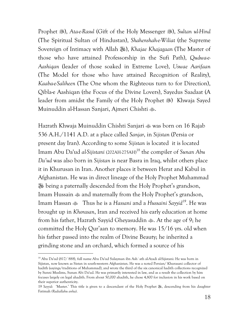Prophet . 38), *Ata-e-Rasul* (Gift of the Holy Messenger . 38), *Sultan ul-Hind* (The Spiritual Sultan of Hindustan), *Shahenshah-e-Wiliat* (the Supreme Sovereign of Intimacy with Allah -), *Khajae Khajagaan* (The Master of those who have attained Professorship in the Sufi Path), *Qudwa-e-Aashiqan* (leader of those soaked in Extreme Love), *Uswae Aarifaan* (The Model for those who have attained Recognition of Reality), *Kaaba-e-Saliheen* (The One whom the Righteous turn to for Direction), Qibla-e Aashiqan (the Focus of the Divine Lovers), Sayedus Saadaat (A leader from amidst the Family of the Holy Prophet 389 Khwaja Sayed Muinuddin al-Hassan Sanjari, Ajmeri Chishti ...

Hazrath Khwaja Muinuddin Chishti Sanjari was born on 16 Rajab 536 A.H./1141 A.D. at a place called *Sanjar*, in *Sijistan* (Persia or present day Iran). According to some *Sijistan* is located it is located Imam Abu Da'ud al-Sijistani (202AH-275AH)<sup>18</sup> the compiler of Sunan Abu *Da'ud* was also born in *Sijistan* is near Basra in Iraq, whilst others place it in Khurusan in Iran. Another places it between Herat and Kabul in Afghanistan. He was in direct lineage of the Holy Prophet Muhammad **»** being a paternally descended from the Holy Prophet's grandson, Imam Hussain  $\triangleq$  and maternally from the Holy Prophet's grandson, Imam Hassan Thus he is a *Hassani* and a *Hussaini Sayyid<sup>19</sup>*. He was brought up in *Khorasan*, Iran and received his early education at home from his father, Hazrath Sayyid Gheyasuddin . At the age of 9; he committed the Holy Qur'aan to memory. He was 15/16 yrs. old when his father passed into the realm of Divine Beauty; he inherited a grinding stone and an orchard, which formed a source of his

<sup>&</sup>lt;sup>18</sup> Abu Da'ud (817/ 888), full name Abu Da'ud Sulayman ibn Ash`ath al-Azadi al-Sijistani: He was born in Sijistan, now known as Sistan in south-western Afghanistan. He was a noted Persian/ Khurasani collector of hadith (sayings/traditions of Muhammad), and wrote the third of the six canonical hadith collections recognized by Sunni Muslims, Sunan Abi Da'ud. He was primarily interested in law, and as a result the collection by him focuses largely on legal ahadith. From about 50,000 ahadith, he chose 4,800 for inclusion in his work based on their superior authenticity.

<sup>19</sup> Sayyid: 'Master.' This title is given to a descendant of the Holy Prophet . descending from his daughter Fatimah *(Radiallahu anha)*.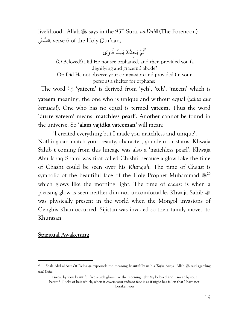livelihood. Allah - says in the 93rd Sura, *ad-Duh7* (The Forenoon) یٰحالض, verse 6 of the Holy Qur'aan,

أَلَمْ يَجِدْكَ يَتِيمًا فَآوَى

 (O Beloved!) Did He not see orphaned, and then provided you (a dignifying and graceful) abode? Or: Did He not observe your compassion and provided (in your person) a shelter for orphans?

 The word يمتي' **yateem**' is derived from '**yeh**', '**teh**', '**meem**' which is **yateem** meaning, the one who is unique and without equal (*yakta aur bemisaal*). One who has no equal is termed **yateem.** Thus the word '**durre yateem'** means '**matchless pearl'**. Another cannot be found in the universe. So '**alam yajidka yateeman'** will mean:

 'I created everything but I made you matchless and unique'. Nothing can match your beauty, character, grandeur or status. Khwaja Sahib t coming from this lineage was also a 'matchless pearl'. Khwaja Abu Ishaq Shami was firat called Chishti because a glow loke the time of Chasht could be seen over his *Khanqah*. The time of *Chaast* is symbolic of the beautiful face of the Holy Prophet Muhammad  $*^{20}$ which glows like the morning light. The time of *chaast* is when a pleasing glow is seen neither dim nor uncomfortable. Khwaja Sahib was physically present in the world when the Mongol invasions of Genghis Khan occurred. Sijistan was invaded so their family moved to Khurasan.

#### **Spiritual Awakening**

<sup>&</sup>lt;sup>20</sup> Shah Abd al-Aziz Of Delhi  $\ast$  expounds the meaning beautifully in his *Tafsir Azizia*. Allah  $\ast$  said rgarding *wad Duha* ,

I swear by your beautiful face which glows like the morning light My beloved and I swear by your beautiful locks of hair which, when it covers your radiant face is as if night has fallen that I have not forsaken you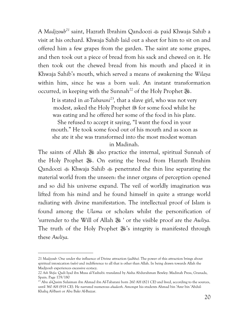A *Madizoub*<sup>21</sup> saint, Hazrath Ibrahim Qandoozi  $\triangleq$  paid Khwaja Sahib a visit at his orchard. Khwaja Sahib laid out a sheet for him to sit on and offered him a few grapes from the garden. The saint ate some grapes, and then took out a piece of bread from his sack and chewed on it. He then took out the chewed bread from his mouth and placed it in Khwaja Sahib's mouth, which served a means of awakening the *Wilaya*  within him, since he was a born *wali*. An instant transformation occurred, in keeping with the Sunnah<sup>22</sup> of the Holy Prophet  $\mathcal{F}_{\mathbf{F}}$ .

It is stated in *at-Tabarani*<sup>23</sup>, that a slave girl, who was not very modest, asked the Holy Prophet  $\frac{1}{200}$  for some food whilst he was eating and he offered her some of the food in his plate. She refused to accept it saying, "I want the food in your mouth." He took some food out of his mouth and as soon as she ate it she was transformed into the most modest woman in Madinah.

The saints of Allah 3 also practice the internal, spiritual Sunnah of the Holy Prophet 3. On eating the bread from Hazrath Ibrahim Qandoozi Khwaja Sahib penetrated the thin line separating the material world from the unseen: the inner organs of perception opened and so did his universe expand. The veil of worldly imagination was lifted from his mind and he found himself in quite a strange world radiating with divine manifestation. The intellectual proof of Islam is found among the *Ulama* or scholars whilst the personification of 'surrender to the Will of Allah <sup>36</sup> ' or the visible proof are the *Awliya*. The truth of the Holy Prophet  $\mathcal{E}'$ 's integrity is manifested through these *Awliya.*

<sup>21</sup> *Madjzoub:* One under the influence of Divine attraction *(jadhba).* The power of this attraction brings about spiritual intoxication *(sukr)* and indifference to all that is other than Allah. In being drawn towards Allah the Madjzoub experiences excessive ecstacy.

<sup>22</sup> *Ash Shifa*: Qadi Iyad ibn Musa al-Yashubi: translated by Aisha Abdurahman Bewley: Madinah Press, Granada, Spain. Page 179/180

<sup>&</sup>lt;sup>23</sup> Abu al-Qasim Sulaiman ibn Ahmad ibn Al-Tabarani born 260 AH (821 CE) and lived, according to the sources, until 360 AH (918 CE). He narrated numerous *ahadeeth*. Amongst his students Ahmad bin 'Amr bin 'Abdul-Khaliq Al-Basri or Abu Bakr Al-Bazzar.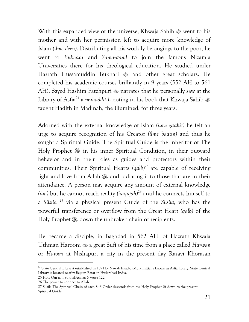With this expanded view of the universe, Khwaja Sahib went to his mother and with her permission left to acquire more knowledge of Islam *(ilme deen)*. Distributing all his worldly belongings to the poor, he went to *Bukhara* and *Samarqand* to join the famous Nizamia Universities there for his theological education. He studied under Hazrath Hussamuddin Bukhari  $\frac{1}{2}$  and other great scholars. He completed his academic courses brilliantly in 9 years (552 AH to 561 AH). Sayed Hashim Fatehpuri  $\triangleq$  narrates that he personally saw at the Library of Asfia<sup>24</sup> a *muhadditth* noting in his book that Khwaja Sahib taught Hadith in Madinah, the Illumined, for three years.

Adorned with the external knowledge of Islam *(ilme zaahir)* he felt an urge to acquire recognition of his Creator *(ilme baatin)* and thus he sought a Spiritual Guide. The Spiritual Guide is the inheritor of The Holy Prophet 3 in his inner Spiritual Condition, in their outward behavior and in their roles as guides and protectors within their communities. Their Spiritual Hearts *(qalb)<sup>25</sup>* are capable of receiving light and love from Allah 3 and radiating it to those that are in their attendance. A person may acquire any amount of external knowledge  $(ilm)$  but he cannot reach reality  $(haqiqah)^{26}$  until he connects himself to a *Silsila <sup>27</sup>* via a physical present Guide of the *Silsila,* who has the powerful transference or overflow from the Great Heart *(qalb)* of the Holy Prophet  $\frac{1}{2}$  down the unbroken chain of recipients.

He became a disciple, in Baghdad in 562 AH, of Hazrath Khwaja Uthman Harooni a great Sufi of his time from a place called *Harwan* or *Haroon* at Nishapur, a city in the present day Razavi Khorasan

<sup>&</sup>lt;sup>24</sup> State Central Libraryt established in 1891 by Nawab Imad-ul-Mulk Initially known as Asfia library, State Central Library is located nearby Begum Bazar in Hyderabad India.

<sup>25</sup> Holy Qur'aan Sura *al-Anaam* 6 Verse 122

<sup>26</sup> The power to connect to Allah.

<sup>27</sup> Silsila The Spiritual Chain of each Sufi Order descends from the Holy Prophet & down to the present Spiritual Guide.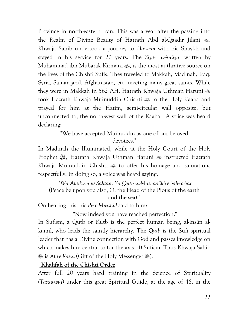Province in north-eastern Iran. This was a year after the passing into the Realm of Divine Beauty of Hazrath Abd al-Qaadir Jilani  $\ddot{\ddot{\ }}$ . Khwaja Sahib undertook a journey to *Harwan* with his Shaykh and stayed in his service for 20 years. The *Siyar al-Auliya*, written by Muhammad ibn Mubarak Kirmani , is the most authrative source on the lives of the Chishti Sufis. They traveled to Makkah, Madinah, Iraq, Syria, Samarqand, Afghanistan, etc. meeting many great saints. While they were in Makkah in 562 AH, Hazrath Khwaja Uthman Haruni took Hazrath Khwaja Muinuddin Chishti  $\ast$  to the Holy Kaaba and prayed for him at the Hatim, semi-circular wall opposite, but unconnected to, the north-west wall of the Kaaba . A voice was heard declaring:

> "We have accepted Muinuddin as one of our beloved devotees."

In Madinah the Illuminated, while at the Holy Court of the Holy Prophet 3, Hazrath Khwaja Uthman Haruni  $\triangleq$  instructed Hazrath Khwaja Muinuddin Chishti to offer his homage and salutations respectfully. In doing so, a voice was heard saying:

*"Wa Alaikum us-Salaam Ya Qutb ul-Mashaa'ikh-e-bahr-o-bar* (Peace be upon you also, O, the Head of the Pious of the earth and the sea)."

On hearing this, his *Pir-o-Murshid* said to him:

"Now indeed you have reached perfection."

In Sufism, a Qutb or Kutb is the perfect human being, al-insān alkāmil, who leads the saintly hierarchy. The *Qutb* is the Sufi spiritual leader that has a Divine connection with God and passes knowledge on which makes him central to (or the axis of) Sufism. Thus Khwaja Sahib **89 is Ata-e-Rasul (Gift of the Holy Messenger ...).** 

 **Khalifah of the Chishti Order** 

After full 20 years hard training in the Science of Spirituality *(Tasawwuf)* under this great Spiritual Guide, at the age of 46, in the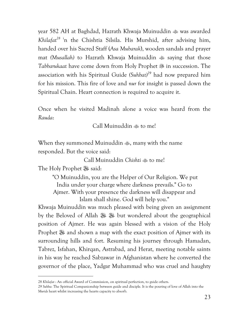year 582 AH at Baghdad, Hazrath Khwaja Muinuddin  $\omega$  was awarded *Khilafat<sup>28</sup>*<sup>i</sup>n the Chishtia Silsila. His Murshid, after advising him, handed over his Sacred Staff (*Asa Mubarak*), wooden sandals and prayer mat *(Musallah)* to Hazrath Khwaja Muinuddin  $\frac{1}{20}$  saying that those *Tabbarukaat* have come down from Holy Prophet in succession. The association with his Spiritual Guide *(Suhbat)<sup>29</sup>* had now prepared him for his mission. This fire of love and *nur* for insight is passed down the Spiritual Chain. Heart connection is required to acquire it.

Once when he visited Madinah alone a voice was heard from the *Rauda*:

Call Muinuddin  $\ddot{\text{}}$  to me!

When they summoned Muinuddin  $\omega$ , many with the name responded. But the voice said:

Call Muinuddin *Chishti* to me!

The Holy Prophet & said:

 $\overline{a}$ 

 "O Muinuddin, you are the Helper of Our Religion. We put India under your charge where darkness prevails." Go to Ajmer. With your presence the darkness will disappear and Islam shall shine. God will help you."

Khwaja Muinuddin was much pleased with being given an assignment by the Beloved of Allah  $\frac{11}{100}$  but wondered about the geographical position of Ajmer. He was again blessed with a vision of the Holy Prophet  $\frac{36}{100}$  and shown a map with the exact position of Ajmer with its surrounding hills and fort. Resuming his journey through Hamadan, Tabrez, Isfahan, Khirqan, Astrabad, and Herat, meeting notable saints in his way he reached Sabzawar in Afghanistan where he converted the governor of the place, Yadgar Muhammad who was cruel and haughty

<sup>28</sup> *Khilafat* : An official Award of Commission, on spiritual perfection, to guide others.

<sup>29</sup> *Suhba*: The Spiritual Companionship between guide and disciple. It is the pouring of love of Allah into the *Murids* heart whilst increasing the hearts capacity to absorb.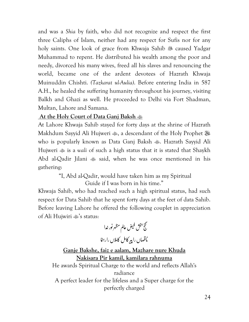and was a *Shia* by faith, who did not recognize and respect the first three Caliphs of Islam, neither had any respect for Sufis nor for any holy saints. One look of grace from Khwaja Sahib  $\mathcal{F}$  caused Yadgar Muhammad to repent. He distributed his wealth among the poor and needy, divorced his many wives, freed all his slaves and renouncing the world, became one of the ardent devotees of Hazrath Khwaja Muinuddin Chishti. *(Tazkarat ul-Aulia)*. Before entering India in 587 A.H., he healed the suffering humanity throughout his journey, visiting Balkh and Ghazi as well. He proceeded to Delhi via Fort Shadman, Multan, Lahore and Samana.

#### **At the Holy Court of Data Ganj Baksh**

At Lahore Khwaja Sahib stayed for forty days at the shrine of Hazrath Makhdum Sayyid Ali Hujweri  $\clubsuit$ , a descendant of the Holy Prophet  $\clubsuit$ who is popularly known as Data Ganj Baksh  $\clubsuit$ . Hazrath Sayyid Ali Hujweri is a *wali* of such a high status that it is stated that Shaykh Abd al-Qadir Jilani  $\gg$  said, when he was once mentioned in his gathering:

#### "I, Abd al-Qadir, would have taken him as my Spiritual Guide if I was born in his time."

Khwaja Sahib, who had reached such a high spiritual status, had such respect for Data Sahib that he spent forty days at the feet of data Sahib. Before leaving Lahore he offered the following couplet in appreciation of Ali Hujwiri  $\ddot{\bullet}$ 's status:  $\ddot{\phantom{0}}$ 

ż

 $\ddot{\phantom{0}}$ 

í

 $\ddot{\phantom{0}}$ J

 $\frac{1}{2}$ 

فتح بمحش فيض عالم مظهر نور غدا .<br>ا 4 ساں را پیر کامل کاملاں را رہن<mark>ا</mark> ;<br>; :  $\ddot{\cdot}$ بأقه  $\overline{a}$ , **Ganje Bakshe, faiz e aalam, Mazhare nure Khuda Nakisara Pir kamil, kamilara rahnuma**  He awards Spiritual Charge to the world and reflects Allah's radiance A perfect leader for the lifeless and a Super charge for the perfectly charged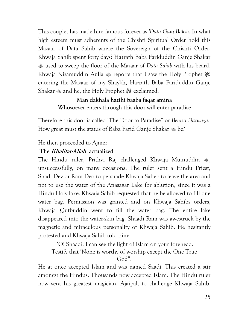This couplet has made him famous forever as *'Data Ganj Baksh*. In what high esteem must adherents of the Chishti Spiritual Order hold this Mazaar of Data Sahib where the Sovereign of the Chishti Order, Khwaja Sahib spent forty days? Hazrath Baba Fariduddin Ganje Shakar used to sweep the floor of the Mazaar of *Data Sahib* with his beard. Khwaja Nizamuddin Aulia  $\text{L}$  reports that I saw the Holy Prophet  $\text{L}$ entering the Mazaar of my Shaykh, Hazrath Baba Fariduddin Ganje Shakar  $\triangleq$  and he, the Holy Prophet  $\triangleq$  exclaimed:

#### **Man dakhala hazihi baaba faqat amina**

Whosoever enters through this door will enter paradise

Therefore this door is called 'The Door to Paradise" or *Behisti Darwaza.* How great must the status of Baba Farid Ganje Shakar  $\&$  be?

He then proceeded to Ajmer.

#### **The Khalifat-Allah actualized**

The Hindu ruler, Prithvi Raj challenged Khwaja Muinuddin , unsuccessfully, on many occasions. The ruler sent a Hindu Priest, Shadi Dev or Ram Deo to persuade Khwaja Saheb to leave the area and not to use the water of the Anasagar Lake for ablution, since it was a Hindu Holy lake. Khwaja Sahib requested that he be allowed to fill one water bag. Permission was granted and on Khwaja Sahibs orders, Khwaja Qutbuddin went to fill the water bag. The entire lake disappeared into the water-skin bag. Shaadi Ram was awestruck by the magnetic and miraculous personality of Khwaja Sahib. He hesitantly protested and Khwaja Sahib told him:

'O! Shaadi. I can see the light of Islam on your forehead.

Testify that 'None is worthy of worship except the One True

God".

He at once accepted Islam and was named Saadi. This created a stir amongst the Hindus. Thousands now accepted Islam. The Hindu ruler now sent his greatest magician, Ajaipal, to challenge Khwaja Sahib.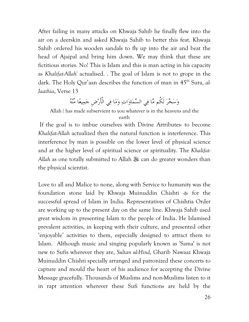After failing in many attacks on Khwaja Sahib he finally flew into the air on a deerskin and asked Khwaja Sahib to better this feat. Khwaja Sahib ordered his wooden sandals to fly up into the air and beat the head of Ajaipal and bring him down. We may think that these are fictitious stories. No! This is Islam and this is man acting in his capacity as *Khalifat-Allah<sup>i</sup>* actualised. . The goal of Islam is not to grope in the dark. The Holy Qur'aan describes the function of man in 45<sup>th</sup> Sura, al-*Jaathia*, Verse 13

وَسَخَّرَ لَكُم مَّا فِي السَّمَاوَاتِ وَمَا فِي الْأَرْضِ جَمِيعًا مِّنْهُ

Allah . has made subservient to you whatever is in the heavens and the earth

 If the goal is to imbue ourselves with Divine Attributes- to become *Khalifat-Allah* actualized then the natural function is interference. This interference by man is possible on the lower level of physical science and at the higher level of spiritual science or spirituality. The *Khalifat-*Allah as one totally submitted to Allah <sup>39</sup> can do greater wonders than the physical scientist.

Love to all and Malice to none, along with Service to humanity was the foundation stone laid by Khwaja Muinuddin Chishti & for the successful spread of Islam in India. Representatives of Chishtia Order are working up to the present day on the same line. Khwaja Sahib used great wisdom in presenting Islam to the people of India. He Islamised prevalent activities, in keeping with their culture, and presented other 'enjoyable' activities to them, especially designed to attract them to Islam. Although music and singing popularly known as 'Sama' is not new to Sufis wherever they are, *Sultan ul-Hind*, Gharib Nawaaz Khwaja Muinuddin Chishti specially arranged and patronized these concerts to capture and mould the heart of his audience for accepting the Divine Message gracefully. Thousands of Muslims and non-Muslims listen to it in rapt attention wherever these Sufi functions are held by the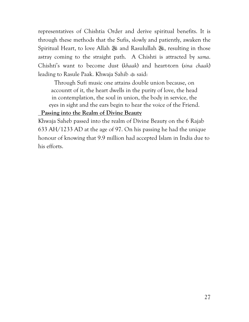representatives of Chishtia Order and derive spiritual benefits. It is through these methods that the Sufis, slowly and patiently, awaken the Spiritual Heart, to love Allah - and Rasulullah -, resulting in those astray coming to the straight path. A Chishti is attracted by *sama*. Chishti's want to become dust (*khaak*) and heart-torn (*sina chaak*) leading to Rasule Paak. Khwaja Sahib  $\ddot{\text{ }}$  said:

Through Sufi music one attains double union because, on accountt of it, the heart dwells in the purity of love, the head in contemplation, the soul in union, the body in service, the eyes in sight and the ears begin to hear the voice of the Friend.

#### **Passing into the Realm of Divine Beauty**

Khwaja Saheb passed into the realm of Divine Beauty on the 6 Rajab 633 AH/1233 AD at the age of 97. On his passing he had the unique honour of knowing that 9.9 million had accepted Islam in India due to his efforts.